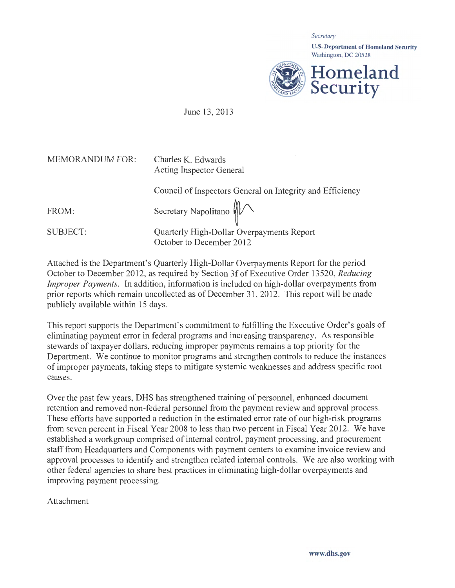*Secretmy*  U.S. Department of Homeland Security Washington, DC 20528 **Homeland Security** 

June 13, 2013

| Charles K. Edwards<br>Acting Inspector General                        |
|-----------------------------------------------------------------------|
| Council of Inspectors General on Integrity and Efficiency             |
| Secretary Napolitano $\mathbb{M}$                                     |
| Quarterly High-Dollar Overpayments Report<br>October to December 2012 |
|                                                                       |

Attached is the Department's Quarterly High-Dollar Overpayments Report for the period October to December 2012, as required by Section 3f of Executive Order 13520, *Reducing Improper Payments.* In addition, information is included on high-dollar overpayments from prior reports which remain uncollected as of December 31 , 2012. This report will be made publicly available within 15 days.

This report supports the Department's commitment to fulfilling the Executive Order's goals of eliminating payment error in federal programs and increasing transparency. As responsible stewards of taxpayer dollars, reducing improper payments remains a top priority for the Department. We continue to monitor programs and strengthen controls to reduce the instances of improper payments, taking steps to mitigate systemic weaknesses and address specific root causes.

Over the past few years, DHS has strengthened training of personnel, enhanced document retention and removed non-federal personnel from the payment review and approval process. These efforts have supported a reduction in the estimated error rate of our high-risk programs from seven percent in Fiscal Year 2008 to less than two percent in Fiscal Year 2012. We have established a workgroup comprised of internal control, payment processing, and procurement staff from Headquarters and Components with payment centers to examine invoice review and approval processes to identify and strengthen related internal controls. We are also working with other federal agencies to share best practices in eliminating high-dollar overpayments and improving payment processing.

Attachment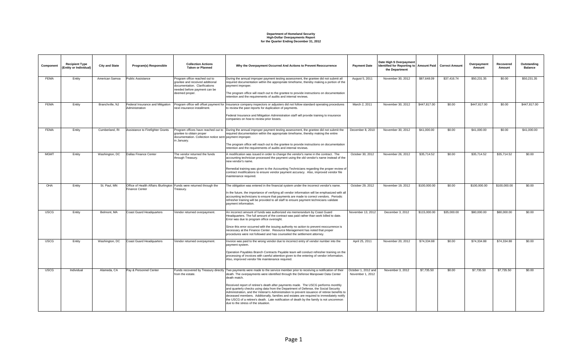### **Department of Homeland Security High-Dollar Overpayments Report for the Quarter Ending December 31, 2012**

| Component   | <b>Recipient Type</b><br>(Entity or Individual) | <b>City and State</b> | Program(s) Responsible                             | <b>Collection Actions</b><br><b>Taken or Planned</b>                                                                              | Why the Overpayment Occurred And Actions to Prevent Reoccurrence                                                                                                                                                                                                                                                                                                                                                                                                                                     | <b>Payment Date</b>                     | Date High \$ Overpayment<br>Identified for Reporting to   Amount Paid   Correct Amount<br>the Department |              |             | Overpayment<br>Amount | Recovered<br>Amount | Outstanding<br><b>Balance</b> |
|-------------|-------------------------------------------------|-----------------------|----------------------------------------------------|-----------------------------------------------------------------------------------------------------------------------------------|------------------------------------------------------------------------------------------------------------------------------------------------------------------------------------------------------------------------------------------------------------------------------------------------------------------------------------------------------------------------------------------------------------------------------------------------------------------------------------------------------|-----------------------------------------|----------------------------------------------------------------------------------------------------------|--------------|-------------|-----------------------|---------------------|-------------------------------|
| <b>FEMA</b> | Entity                                          | American Samoa        | <b>Public Assistance</b>                           | Program office reached out to<br>grantee and received additional<br>documentation. Clarifications<br>needed before payment can be | During the annual improper payment testing assessment, the grantee did not submit all<br>required documentation within the appropriate timeframe, thereby making a portion of the<br>payment improper.                                                                                                                                                                                                                                                                                               | August 5, 2011                          | November 30, 2012                                                                                        | \$87,648.09  | \$37,416.74 | \$50,231.35           | \$0.00              | \$50,231.35                   |
|             |                                                 |                       |                                                    | deemed proper.                                                                                                                    | The program office will reach out to the grantee to provide instructions on documentation<br>retention and the requirements of audits and internal reviews.                                                                                                                                                                                                                                                                                                                                          |                                         |                                                                                                          |              |             |                       |                     |                               |
| <b>FEMA</b> | Entity                                          | Branchville, NJ       | Federal Insurance and Mitigation<br>Administration | next insurance installment.                                                                                                       | Program office will offset payment for Insurance company inspectors or adjusters did not follow standard operating procedures<br>to review the past reports for duplication of payments.                                                                                                                                                                                                                                                                                                             | March 2, 2011                           | November 30, 2012                                                                                        | \$447,817.00 | \$0.00      | \$447,817.00          | \$0.00              | \$447,817.00                  |
|             |                                                 |                       |                                                    |                                                                                                                                   | Federal Insurance and Mitigation Administration staff will provide training to insurance<br>companies on how to review prior losses.                                                                                                                                                                                                                                                                                                                                                                 |                                         |                                                                                                          |              |             |                       |                     |                               |
| <b>FEMA</b> | Entity                                          | Cumberland, RI        | Assistance to Firefighter Grants                   | grantee to obtain proper<br>documentation. Collection notice sent payment improper.<br>in January.                                | Program offices have reached out to During the annual improper payment testing assessment, the grantee did not submit the<br>required documentation within the appropriate timeframe, thereby making the entire                                                                                                                                                                                                                                                                                      | December 8, 2010                        | November 30, 2012                                                                                        | \$41,000.00  | \$0.00      | \$41,000.00           | \$0.00              | \$41,000.00                   |
|             |                                                 |                       |                                                    |                                                                                                                                   | The program office will reach out to the grantee to provide instructions on documentation<br>retention and the requirements of audits and internal reviews.                                                                                                                                                                                                                                                                                                                                          |                                         |                                                                                                          |              |             |                       |                     |                               |
| <b>MGMT</b> | Entity                                          | Washington, DC        | Dallas Finance Center                              | The vendor returned the funds<br>through Treasury.                                                                                | A modification was issued in order to change the vendor's name in the contract. The<br>accounting technician processed the payment using the old vendor's name instead of the<br>new vendor's name.                                                                                                                                                                                                                                                                                                  | October 30, 2012                        | November 26, 2012                                                                                        | \$35,714.52  | \$0.00      | \$35,714.52           | \$35,714.52         | \$0.00                        |
|             |                                                 |                       |                                                    |                                                                                                                                   | Remedial training was given to the Accounting Technicians regarding the proper review of<br>contract modifications to ensure vendor payment accuracy. Also, improved vendor file<br>maintenance required.                                                                                                                                                                                                                                                                                            |                                         |                                                                                                          |              |             |                       |                     |                               |
| OHA         | Entity                                          | St. Paul. MN          | <b>Finance Center</b>                              | Office of Health Affairs /Burlington Funds were returned through the<br>Treasury.                                                 | The obligation was entered in the financial system under the incorrect vendor's name.<br>In the future, the importance of verifying all vendor information will be emphasized with all                                                                                                                                                                                                                                                                                                               | October 29, 2012                        | November 19, 2012                                                                                        | \$100,000,00 | \$0.00      | \$100,000,00          | \$100,000,00        | \$0.00                        |
|             |                                                 |                       |                                                    |                                                                                                                                   | accounting technicians to ensure that payments are made to correct vendors. Periodic<br>refresher training will be provided to all staff to ensure payment technicians validate<br>payment information.                                                                                                                                                                                                                                                                                              |                                         |                                                                                                          |              |             |                       |                     |                               |
| <b>USCG</b> | Entity                                          | Belmont, MA           | <b>Coast Guard Headquarters</b>                    | Vendor returned overpayment.                                                                                                      | An incorrect amount of funds was authorized via memorandum by Coast Guard<br>Headquarters. The full amount of the contract was paid rather than work billed to date.<br>Error was due to program office oversight.                                                                                                                                                                                                                                                                                   | November 13, 2012                       | December 3, 2012                                                                                         | \$115,000.00 | \$35,000.00 | \$80,000.00           | \$80,000.00         | \$0.00                        |
|             |                                                 |                       |                                                    |                                                                                                                                   | Since this error occurred with the issuing authority no action to prevent reoccurrence is<br>necessary at the Finance Center. Resource Management has noted that proper<br>procedures were not followed and has counseled the settlement attorney.                                                                                                                                                                                                                                                   |                                         |                                                                                                          |              |             |                       |                     |                               |
| <b>USCG</b> | Entity                                          | Washington, DC        | Coast Guard Headquarters                           | Vendor returned overpayment.                                                                                                      | Invoice was paid to the wrong vendor due to incorrect entry of vendor number into the<br>payment system.                                                                                                                                                                                                                                                                                                                                                                                             | April 25, 2011                          | November 20, 2012                                                                                        | \$74,334.88  | \$0.00      | \$74,334.88           | \$74,334.88         | \$0.00                        |
|             |                                                 |                       |                                                    |                                                                                                                                   | Operation Payables Branch Contracts Payable team will conduct refresher training on the<br>processing of invoices with careful attention given to the entering of vendor information.<br>Also, improved vendor file maintenance required.                                                                                                                                                                                                                                                            |                                         |                                                                                                          |              |             |                       |                     |                               |
| <b>USCG</b> | Individual                                      | Alameda, CA           | Pay & Personnel Center                             | from the estate.                                                                                                                  | Funds recovered by Treasury directly Two payments were made to the service member prior to receiving a notification of their<br>death. The overpayments were identified through the Defense Manpower Data Center<br>death match.                                                                                                                                                                                                                                                                     | October 1, 2012 and<br>November 1, 2012 | November 3, 2012                                                                                         | \$7,735.50   | \$0.00      | \$7,735.50            | \$7,735.50          | \$0.00                        |
|             |                                                 |                       |                                                    |                                                                                                                                   | Received report of retiree's death after payments made. The USCG performs monthly<br>and quarterly checks using data from the Department of Defense, the Social Security<br>Administration, and the Veteran's Administration to prevent issuance of retiree benefits to<br>deceased members. Additionally, families and estates are required to immediately notify<br>the USCG of a retiree's death. Late notification of death by the family is not uncommon<br>due to the stress of the situation. |                                         |                                                                                                          |              |             |                       |                     |                               |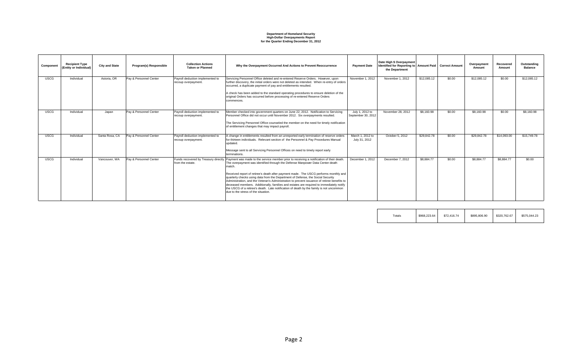### **Department of Homeland Security High-Dollar Overpayments Report for the Quarter Ending December 31, 2012**

| Component   | <b>Recipient Type</b><br>(Entity or Individual) | <b>City and State</b> | Program(s) Responsible | <b>Collection Actions</b><br><b>Taken or Planned</b>    | Why the Overpayment Occurred And Actions to Prevent Reoccurrence                                                                                                                                                                                                                                                                                                                                                                                                                                    | <b>Payment Date</b>                   | Date High \$ Overpayment<br>Identified for Reporting to   Amount Paid   Correct Amount |             |        | Overpayment<br>Amount | Recovered<br>Amount | Outstanding<br><b>Balance</b> |
|-------------|-------------------------------------------------|-----------------------|------------------------|---------------------------------------------------------|-----------------------------------------------------------------------------------------------------------------------------------------------------------------------------------------------------------------------------------------------------------------------------------------------------------------------------------------------------------------------------------------------------------------------------------------------------------------------------------------------------|---------------------------------------|----------------------------------------------------------------------------------------|-------------|--------|-----------------------|---------------------|-------------------------------|
|             |                                                 |                       |                        |                                                         |                                                                                                                                                                                                                                                                                                                                                                                                                                                                                                     |                                       | the Department                                                                         |             |        |                       |                     |                               |
| <b>USCG</b> | Individual                                      | Astoria, OR           | Pay & Personnel Center | Payroll deduction implemented to<br>recoup overpayment. | Servicing Personnel Office deleted and re-entered Reserve Orders. However, upon<br>further discovery, the initial orders were not deleted as intended. When re-entry of orders<br>occurred, a duplicate payment of pay and entitlements resulted.                                                                                                                                                                                                                                                   | November 1, 2012                      | November 1, 2012                                                                       | \$12,085.12 | \$0.00 | \$12,085.12           | \$0.00              | \$12,085.12                   |
|             |                                                 |                       |                        |                                                         | A check has been added to the standard operating procedures to ensure deletion of the<br>original Orders has occurred before processing of re-entered Reserve Orders<br>commences.                                                                                                                                                                                                                                                                                                                  |                                       |                                                                                        |             |        |                       |                     |                               |
| <b>USCG</b> | Individual                                      | Japan                 | Pay & Personnel Center | Payroll deduction implemented to<br>recoup overpayment. | Member checked into government quarters on June 22, 2012. Notification to Servicing<br>Personnel Office did not occur until November 2012. Six overpayments resulted.                                                                                                                                                                                                                                                                                                                               | July 1, 2012 to<br>September 30, 2012 | November 28, 2012                                                                      | \$8,160.98  | \$0.00 | \$8,160.98            | \$0.00              | \$8,160.98                    |
|             |                                                 |                       |                        |                                                         | The Servicing Personnel Office counseled the member on the need for timely notification<br>of entitlement changes that may impact payroll.                                                                                                                                                                                                                                                                                                                                                          |                                       |                                                                                        |             |        |                       |                     |                               |
| <b>USCG</b> | Individual                                      | Santa Rosa, CA        | Pay & Personnel Center | Payroll deduction implemented to<br>recoup overpayment. | A change in entitlements resulted from an unreported early termination of reserve orders<br>for thirteen individuals. Relevant section of the Personnel & Pay Procedures Manual<br>updated.                                                                                                                                                                                                                                                                                                         | March 1, 2012 to<br>July 31, 2012     | October 5, 2012                                                                        | \$29,842.78 | \$0.00 | \$29,842.78           | \$14,093,00         | \$15,749.78                   |
|             |                                                 |                       |                        |                                                         | Message sent to all Servicing Personnel Offices on need to timely report early<br>terminations.                                                                                                                                                                                                                                                                                                                                                                                                     |                                       |                                                                                        |             |        |                       |                     |                               |
| <b>USCG</b> | Individual                                      | Vancouver, WA         | Pay & Personnel Center | from the estate.                                        | Funds recovered by Treasury directly Payment was made to the service member prior to receiving a notification of their death.<br>The overpayment was identified through the Defense Manpower Data Center death<br>match.                                                                                                                                                                                                                                                                            | December 1, 2012                      | December 7, 2012                                                                       | \$8,884.77  | \$0.00 | \$8,884,77            | \$8,884.77          | \$0.00                        |
|             |                                                 |                       |                        |                                                         | Received report of retiree's death after payment made. The USCG performs monthly and<br>quarterly checks using data from the Department of Defense, the Social Security<br>Administration, and the Veteran's Administration to prevent issuance of retiree benefits to<br>deceased members. Additionally, families and estates are required to immediately notify<br>the USCG of a retiree's death. Late notification of death by the family is not uncommon<br>due to the stress of the situation. |                                       |                                                                                        |             |        |                       |                     |                               |
|             |                                                 |                       |                        |                                                         |                                                                                                                                                                                                                                                                                                                                                                                                                                                                                                     |                                       |                                                                                        |             |        |                       |                     |                               |

| $\tau$ otals | \$968,223,64 | \$72,416.74 | \$895,806.90 | \$320,762.67 | \$575,044.23 |
|--------------|--------------|-------------|--------------|--------------|--------------|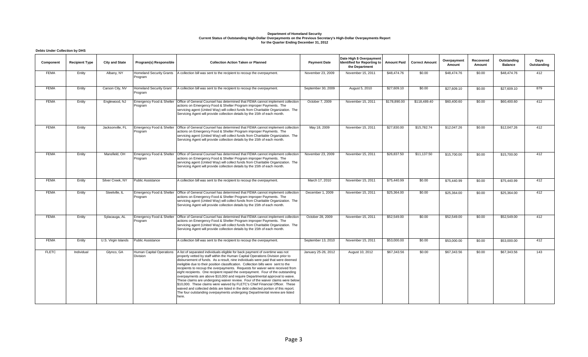## Department of Homeland Security<br>Current Status of Outstanding High-Dollar Overpayments on the Previous Secretary's High-Dollar Overpayments Report<br>for the Quarter Ending December 31, 2012

#### **Debts Under Collection by DHS**

| Component    | <b>Recipient Type</b> | <b>City and State</b> | Program(s) Responsible                         | <b>Collection Action Taken or Planned</b>                                                                                                                                                                                                                                                                                                                                                                                                                                                                                                                                                                                                                                                                                                                                                                                                                                                                                                     | <b>Payment Date</b> | Date High \$ Overpayment<br>Identified for Reporting to<br>the Department | <b>Amount Paid</b> | <b>Correct Amount</b> | Overpayment<br>Amount | Recovered<br>Amount | Outstanding<br><b>Balance</b> | Days<br>Outstanding |
|--------------|-----------------------|-----------------------|------------------------------------------------|-----------------------------------------------------------------------------------------------------------------------------------------------------------------------------------------------------------------------------------------------------------------------------------------------------------------------------------------------------------------------------------------------------------------------------------------------------------------------------------------------------------------------------------------------------------------------------------------------------------------------------------------------------------------------------------------------------------------------------------------------------------------------------------------------------------------------------------------------------------------------------------------------------------------------------------------------|---------------------|---------------------------------------------------------------------------|--------------------|-----------------------|-----------------------|---------------------|-------------------------------|---------------------|
| <b>FEMA</b>  | Entity                | Albany, NY            | <b>Homeland Security Grants</b><br>Program     | A collection bill was sent to the recipient to recoup the overpayment.                                                                                                                                                                                                                                                                                                                                                                                                                                                                                                                                                                                                                                                                                                                                                                                                                                                                        | November 23, 2009   | November 15, 2011                                                         | \$48,474.76        | \$0.00                | \$48,474.76           | \$0.00              | \$48,474.76                   | 412                 |
| <b>FEMA</b>  | Entity                | Carson City, NV       | <b>Homeland Security Grant</b><br>Program      | A collection bill was sent to the recipient to recoup the overpayment.                                                                                                                                                                                                                                                                                                                                                                                                                                                                                                                                                                                                                                                                                                                                                                                                                                                                        | September 30, 2009  | August 5, 2010                                                            | \$27,609.10        | \$0.00                | \$27,609.10           | \$0.00              | \$27,609.10                   | 879                 |
| <b>FEMA</b>  | Entity                | Englewood, NJ         | Emergency Food & Shelter<br>Program            | Office of General Counsel has determined that FEMA cannot implement collection<br>actions on Emergency Food & Shelter Program improper Payments. The<br>servicing agent (United Way) will collect funds from Charitable Organization. The<br>Servicing Agent will provide collection details by the 15th of each month.                                                                                                                                                                                                                                                                                                                                                                                                                                                                                                                                                                                                                       | October 7, 2009     | November 15, 2011                                                         | \$178,890.00       | \$118,489.40          | \$60,400.60           | \$0.00              | \$60,400.60                   | 412                 |
| <b>FEMA</b>  | Entity                | Jacksonville, FL      | <b>Emergency Food &amp; Shelter</b><br>Program | Office of General Counsel has determined that FEMA cannot implement collection<br>actions on Emergency Food & Shelter Program improper Payments. The<br>servicing agent (United Way) will collect funds from Charitable Organization. The<br>Servicing Agent will provide collection details by the 15th of each month.                                                                                                                                                                                                                                                                                                                                                                                                                                                                                                                                                                                                                       | May 18, 2009        | November 15, 2011                                                         | \$27,830.00        | \$15,782.74           | \$12,047.26           | \$0.00              | \$12,047.26                   | 412                 |
| <b>FEMA</b>  | Entity                | Mansfield, OH         | Emergency Food & Shelter<br>Program            | Office of General Counsel has determined that FEMA cannot implement collection<br>actions on Emergency Food & Shelter Program improper Payments. The<br>servicing agent (United Way) will collect funds from Charitable Organization. The<br>Servicing Agent will provide collection details by the 15th of each month.                                                                                                                                                                                                                                                                                                                                                                                                                                                                                                                                                                                                                       | November 23, 2009   | November 15, 2011                                                         | \$26,837.50        | \$11,137.50           | \$15,700.00           | \$0.00              | \$15,700.00                   | 412                 |
| <b>FEMA</b>  | Entity                | Silver Creek, NY      | <b>Public Assistance</b>                       | A collection bill was sent to the recipient to recoup the overpayment.                                                                                                                                                                                                                                                                                                                                                                                                                                                                                                                                                                                                                                                                                                                                                                                                                                                                        | March 17, 2010      | November 15, 2011                                                         | \$75,440.99        | \$0.00                | \$75,440.99           | \$0.00              | \$75,440.99                   | 412                 |
| <b>FEMA</b>  | Entity                | Steelville, IL        | <b>Emergency Food &amp; Shelter</b><br>Program | Office of General Counsel has determined that FEMA cannot implement collection<br>actions on Emergency Food & Shelter Program improper Payments. The<br>servicing agent (United Way) will collect funds from Charitable Organization. The<br>Servicing Agent will provide collection details by the 15th of each month.                                                                                                                                                                                                                                                                                                                                                                                                                                                                                                                                                                                                                       | December 1, 2009    | November 15, 2011                                                         | \$25,364.00        | \$0.00                | \$25,364.00           | \$0.00              | \$25,364.00                   | 412                 |
| <b>FEMA</b>  | Entity                | Sylacauga, AL         | Emergency Food & Shelter<br>Program            | Office of General Counsel has determined that FEMA cannot implement collection<br>actions on Emergency Food & Shelter Program improper Payments. The<br>servicing agent (United Way) will collect funds from Charitable Organization. The<br>Servicing Agent will provide collection details by the 15th of each month.                                                                                                                                                                                                                                                                                                                                                                                                                                                                                                                                                                                                                       | October 28, 2009    | November 15, 2011                                                         | \$52,549.00        | \$0.00                | \$52,549.00           | \$0.00              | \$52,549.00                   | 412                 |
| <b>FEMA</b>  | Entity                | U.S. Virgin Islands   | <b>Public Assistance</b>                       | A collection bill was sent to the recipient to recoup the overpayment.                                                                                                                                                                                                                                                                                                                                                                                                                                                                                                                                                                                                                                                                                                                                                                                                                                                                        | September 13, 2010  | November 15, 2011                                                         | \$53,000.00        | \$0.00                | \$53,000.00           | \$0.00              | \$53,000.00                   | 412                 |
| <b>FLETC</b> | Individual            | Glynco, GA            | Human Capital Operations<br><b>Division</b>    | A list of separated individuals eligible for back payment of overtime was not<br>properly vetted by staff within the Human Capital Operations Division prior to<br>disbursement of funds. As a result, nine individuals were paid that were deemed<br>ineligible due to their position classification. Collection bills were sent to the<br>recipients to recoup the overpayments. Requests for waiver were received from<br>eight recipients. One recipient repaid the overpayment. Four of the outstanding<br>overpayments are above \$10,000 and require Departmental approval to waive.<br>These claims are undergoing waiver review. Four of the waiver claims were below<br>\$10,000. These claims were waived by FLETC's Chief Financial Officer. These<br>waived and collected debts are listed in the debt collected portion of this report.<br>The four outstanding overpayments undergoing Departmental review are listed<br>here. | January 25-26, 2012 | August 10, 2012                                                           | \$67,343.56        | \$0.00                | \$67,343.56           | \$0.00              | \$67,343.56                   | 143                 |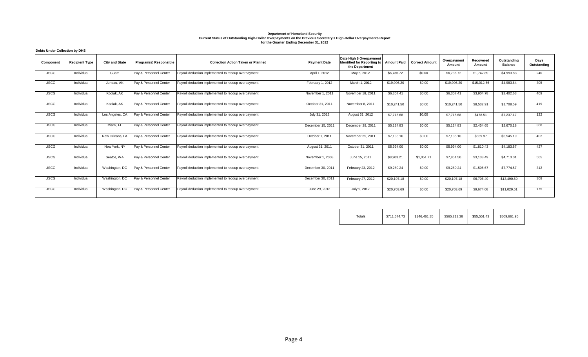## Department of Homeland Security<br>Current Status of Outstanding High-Dollar Overpayments on the Previous Secretary's High-Dollar Overpayments Report<br>for the Quarter Ending December 31, 2012

|  |  | <b>Debts Under Collection by DHS</b> |  |  |
|--|--|--------------------------------------|--|--|
|--|--|--------------------------------------|--|--|

| Component   | <b>Recipient Type</b> | <b>City and State</b> | Program(s) Responsible | <b>Collection Action Taken or Planned</b>            | <b>Payment Date</b> | Date High \$ Overpayment<br>Identified for Reporting to<br>the Department | <b>Amount Paid</b> | <b>Correct Amount</b> | Overpayment<br>Amount | Recovered<br>Amount | Outstanding<br><b>Balance</b> | Days<br>Outstanding |
|-------------|-----------------------|-----------------------|------------------------|------------------------------------------------------|---------------------|---------------------------------------------------------------------------|--------------------|-----------------------|-----------------------|---------------------|-------------------------------|---------------------|
| <b>USCG</b> | Individual            | Guam                  | Pay & Personnel Center | Payroll deduction implemented to recoup overpayment. | April 1, 2012       | May 5, 2012                                                               | \$6,736.72         | \$0.00                | \$6,736.72            | \$1,742.89          | \$4,993.83                    | 240                 |
| <b>USCG</b> | Individual            | Juneau, AK            | Pay & Personnel Center | Payroll deduction implemented to recoup overpayment. | February 1, 2012    | March 1, 2012                                                             | \$19,996.20        | \$0.00                | \$19,996.20           | \$15,012.56         | \$4.983.64                    | 305                 |
| <b>USCG</b> | Individual            | Kodiak, AK            | Pay & Personnel Center | Payroll deduction implemented to recoup overpayment  | November 1, 2011    | November 18, 2011                                                         | \$6,307.41         | \$0.00                | \$6,307.41            | \$3,904.78          | \$2,402.63                    | 409                 |
| <b>USCG</b> | Individual            | Kodiak, AK            | Pay & Personnel Center | Payroll deduction implemented to recoup overpayment  | October 31, 2011    | November 8, 2011                                                          | \$10,241.50        | \$0.00                | \$10,241.50           | \$8,532.91          | \$1,708.59                    | 419                 |
| <b>USCG</b> | Individual            | Los Angeles, CA       | Pay & Personnel Center | Payroll deduction implemented to recoup overpayment  | July 31, 2012       | August 31, 2012                                                           | \$7,715.68         | \$0.00                | \$7,715.68            | \$478.51            | \$7,237.17                    | 122                 |
| <b>USCG</b> | Individual            | Miami, FL             | Pay & Personnel Center | Payroll deduction implemented to recoup overpayment  | December 15, 2011   | December 29, 2011                                                         | \$5,124.83         | \$0.00                | \$5,124.83            | \$2,454.65          | \$2,670.18                    | 368                 |
| <b>USCG</b> | Individual            | New Orleans, LA       | Pay & Personnel Center | Payroll deduction implemented to recoup overpayment. | October 1, 2011     | November 25, 2011                                                         | \$7,135.16         | \$0.00                | \$7,135.16            | \$589.97            | \$6,545.19                    | 402                 |
| <b>USCG</b> | Individual            | New York, NY          | Pay & Personnel Center | Payroll deduction implemented to recoup overpayment. | August 31, 2011     | October 31, 2011                                                          | \$5,994.00         | \$0.00                | \$5,994.00            | \$1,810.43          | \$4,183.57                    | 427                 |
| <b>USCG</b> | Individual            | Seattle, WA           | Pay & Personnel Center | Payroll deduction implemented to recoup overpayment. | November 1, 2008    | June 15, 2011                                                             | \$8,903.21         | \$1,051.71            | \$7,851.50            | \$3,138.49          | \$4,713.01                    | 565                 |
| <b>USCG</b> | Individual            | Washington, DC        | Pay & Personnel Center | Payroll deduction implemented to recoup overpayment. | December 30, 2011   | February 23, 2012                                                         | \$9,280.24         | \$0.00                | \$9,280.24            | \$1,505.67          | \$7,774.57                    | 312                 |
| <b>USCG</b> | Individual            | Washington, DC        | Pay & Personnel Center | Payroll deduction implemented to recoup overpayment. | December 30, 2011   | February 27, 2012                                                         | \$20,197.18        | \$0.00                | \$20,197.18           | \$6,706.49          | \$13,490.69                   | 308                 |
| <b>USCG</b> | Individual            | Washington, DC        | Pay & Personnel Center | Payroll deduction implemented to recoup overpayment. | June 29, 2012       | July 9, 2012                                                              | \$20,703.69        | \$0.00                | \$20,703.69           | \$9,674.08          | \$11.029.61                   | 175                 |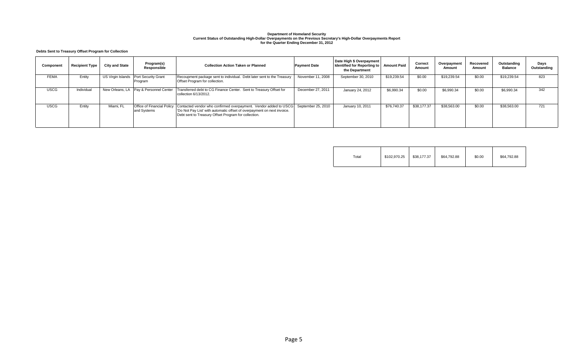# Department of Homeland Security<br>Current Status of Outstanding High-Dollar Overpayments on the Previous Secretary's High-Dollar Overpayments Report<br>for the Quarter Ending December 31, 2012

#### **Debts Sent to Treasury Offset Program for Collection**

| Component   | <b>Recipient Type</b> | <b>City and State</b> | Program(s)<br>Responsible                 | <b>Collection Action Taken or Planned</b>                                                                                                                                                                              | <b>Payment Date</b> | Date High \$ Overpayment<br>Identified for Reporting to   Amount Paid<br>the Department |             | Correct<br>Amount | Overpayment<br>Amount | Recovered<br>Amount | Outstanding<br><b>Balance</b> | Days<br>Outstanding |
|-------------|-----------------------|-----------------------|-------------------------------------------|------------------------------------------------------------------------------------------------------------------------------------------------------------------------------------------------------------------------|---------------------|-----------------------------------------------------------------------------------------|-------------|-------------------|-----------------------|---------------------|-------------------------------|---------------------|
| <b>FEMA</b> | Entity                | US Virgin Islands     | <b>Port Security Grant</b><br>Program     | Recoupment package sent to individual. Debt later sent to the Treasury<br>Offset Program for collection.                                                                                                               | November 11, 2008   | September 30, 2010                                                                      | \$19,239.54 | \$0.00            | \$19,239.54           | \$0.00              | \$19,239.54                   | 823                 |
| <b>USCG</b> | Individual            | New Orleans, LA       | Pay & Personnel Center                    | Transferred debt to CG Finance Center. Sent to Treasury Offset for<br>collection 6/13/2012.                                                                                                                            | December 27, 2011   | January 24, 2012                                                                        | \$6,990.34  | \$0.00            | \$6,990.34            | \$0.00              | \$6.990.34                    | 342                 |
| <b>USCG</b> | Entity                | Miami, FL             | Office of Financial Policy<br>and Systems | Contacted vendor who confirmed overpayment. Vendor added to USCG September 25, 2010<br>'Do Not Pay List' with automatic offset of overpayment on next invoice.<br>Debt sent to Treasury Offset Program for collection. |                     | January 10, 2011                                                                        | \$76,740.37 | \$38,177.37       | \$38,563.00           | \$0.00              | \$38,563.00                   | 721                 |

| $\tau$ otal | \$102,970.25 | \$38,177.37 | \$64,792.88 | \$0.00 | \$64,792.88 |
|-------------|--------------|-------------|-------------|--------|-------------|
|-------------|--------------|-------------|-------------|--------|-------------|